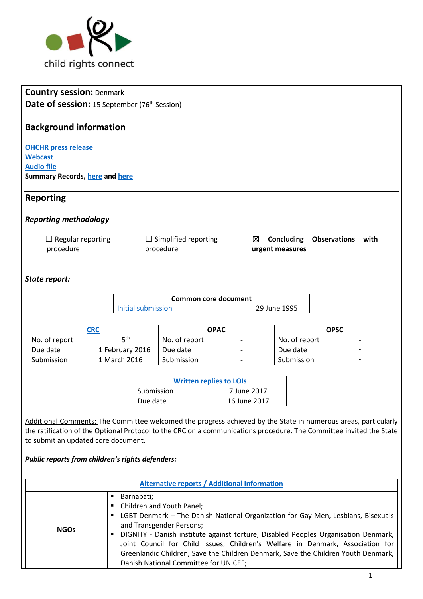

# **Country session:** Denmark **Date of session:** 15 September (76<sup>th</sup> Session)

## **Background information**

**[OHCHR press release](http://www.ohchr.org/EN/NewsEvents/Pages/DisplayNews.aspx?NewsID=22086&LangID=E) [Webcast](http://webtv.un.org/meetings-events/human-rights-treaty-bodies/committee-on-the-rights-of-the-child/watch/consideration-of-denmark-2230th-meeting-76th-session-committee-on-the-rights-of-the-child/5577298339001) [Audio file](http://conf.unog.ch/digitalrecordings/) Summary Records, [here](http://tbinternet.ohchr.org/_layouts/treatybodyexternal/Download.aspx?symbolno=CRC%2fC%2fSR.2230&Lang=en) and [here](http://tbinternet.ohchr.org/_layouts/treatybodyexternal/Download.aspx?symbolno=CRC%2fC%2fSR.2231&Lang=en)**

### **Reporting**

### *Reporting methodology*

| $\Box$ Regular reporting | $\Box$ Simplified reporting |                 | $\boxtimes$ Concluding Observations with |  |
|--------------------------|-----------------------------|-----------------|------------------------------------------|--|
| procedure                | procedure                   | urgent measures |                                          |  |

### *State report:*

| <b>Common core document</b> |              |  |
|-----------------------------|--------------|--|
| <b>Initial submission</b>   | 29 June 1995 |  |

| CRC           |                 | <b>OPAC</b>   |                          | <b>OPSC</b>   |   |
|---------------|-----------------|---------------|--------------------------|---------------|---|
| No. of report | ⊏th             | No. of report |                          | No. of report |   |
| Due date      | 1 February 2016 | Due date      | $\overline{\phantom{0}}$ | Due date      | - |
| Submission    | 1 March 2016    | Submission    | -                        | Submission    | - |

| <b>Written replies to LOIs</b> |              |  |
|--------------------------------|--------------|--|
| Submission                     | 7 June 2017  |  |
| Due date                       | 16 June 2017 |  |

Additional Comments: The Committee welcomed the progress achieved by the State in numerous areas, particularly the ratification of the Optional Protocol to the CRC on a communications procedure. The Committee invited the State to submit an updated core document.

### *Public reports from children's rights defenders:*

| <b>Alternative reports / Additional Information</b> |                                                                                                                                                                                                                                                                                                                                                                                                                                                                                   |  |  |
|-----------------------------------------------------|-----------------------------------------------------------------------------------------------------------------------------------------------------------------------------------------------------------------------------------------------------------------------------------------------------------------------------------------------------------------------------------------------------------------------------------------------------------------------------------|--|--|
| <b>NGOs</b>                                         | Barnabati;<br>٠<br>Children and Youth Panel;<br>٠<br>LGBT Denmark - The Danish National Organization for Gay Men, Lesbians, Bisexuals<br>п<br>and Transgender Persons;<br>DIGNITY - Danish institute against torture, Disabled Peoples Organisation Denmark,<br>п<br>Joint Council for Child Issues, Children's Welfare in Denmark, Association for<br>Greenlandic Children, Save the Children Denmark, Save the Children Youth Denmark,<br>Danish National Committee for UNICEF; |  |  |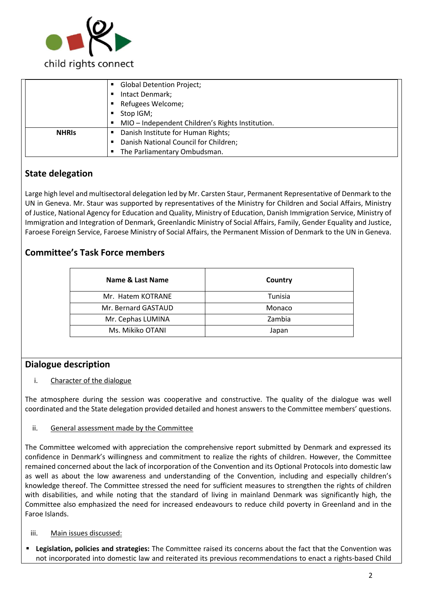

|              | <b>Global Detention Project;</b>                   |  |
|--------------|----------------------------------------------------|--|
|              | Intact Denmark;                                    |  |
|              | Refugees Welcome;                                  |  |
|              | Stop IGM;                                          |  |
|              | • MIO - Independent Children's Rights Institution. |  |
| <b>NHRIS</b> | Danish Institute for Human Rights;                 |  |
|              | Danish National Council for Children;              |  |
|              | • The Parliamentary Ombudsman.                     |  |

# **State delegation**

Large high level and multisectoral delegation led by Mr. Carsten Staur, Permanent Representative of Denmark to the UN in Geneva. Mr. Staur was supported by representatives of the Ministry for Children and Social Affairs, Ministry of Justice, National Agency for Education and Quality, Ministry of Education, Danish Immigration Service, Ministry of Immigration and Integration of Denmark, Greenlandic Ministry of Social Affairs, Family, Gender Equality and Justice, Faroese Foreign Service, Faroese Ministry of Social Affairs, the Permanent Mission of Denmark to the UN in Geneva.

## **Committee's Task Force members**

| Name & Last Name    | Country |
|---------------------|---------|
| Mr. Hatem KOTRANE   | Tunisia |
| Mr. Bernard GASTAUD | Monaco  |
| Mr. Cephas LUMINA   | Zambia  |
| Ms. Mikiko OTANI    | Japan   |

### **Dialogue description**

### i. Character of the dialogue

The atmosphere during the session was cooperative and constructive. The quality of the dialogue was well coordinated and the State delegation provided detailed and honest answers to the Committee members' questions.

### ii. General assessment made by the Committee

The Committee welcomed with appreciation the comprehensive report submitted by Denmark and expressed its confidence in Denmark's willingness and commitment to realize the rights of children. However, the Committee remained concerned about the lack of incorporation of the Convention and its Optional Protocols into domestic law as well as about the low awareness and understanding of the Convention, including and especially children's knowledge thereof. The Committee stressed the need for sufficient measures to strengthen the rights of children with disabilities, and while noting that the standard of living in mainland Denmark was significantly high, the Committee also emphasized the need for increased endeavours to reduce child poverty in Greenland and in the Faroe Islands.

### iii. Main issues discussed:

**Legislation, policies and strategies:** The Committee raised its concerns about the fact that the Convention was not incorporated into domestic law and reiterated its previous recommendations to enact a rights-based Child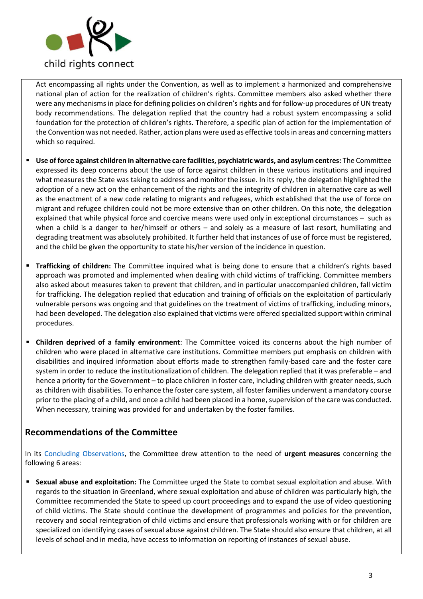

Act encompassing all rights under the Convention, as well as to implement a harmonized and comprehensive national plan of action for the realization of children's rights. Committee members also asked whether there were any mechanisms in place for defining policies on children's rights and for follow-up procedures of UN treaty body recommendations. The delegation replied that the country had a robust system encompassing a solid foundation for the protection of children's rights. Therefore, a specific plan of action for the implementation of the Convention was not needed. Rather, action plans were used as effective tools in areas and concerning matters which so required.

- **Use of force against children in alternative care facilities, psychiatric wards, and asylum centres:** The Committee expressed its deep concerns about the use of force against children in these various institutions and inquired what measures the State was taking to address and monitor the issue. In its reply, the delegation highlighted the adoption of a new act on the enhancement of the rights and the integrity of children in alternative care as well as the enactment of a new code relating to migrants and refugees, which established that the use of force on migrant and refugee children could not be more extensive than on other children. On this note, the delegation explained that while physical force and coercive means were used only in exceptional circumstances – such as when a child is a danger to her/himself or others – and solely as a measure of last resort, humiliating and degrading treatment was absolutely prohibited. It further held that instances of use of force must be registered, and the child be given the opportunity to state his/her version of the incidence in question.
- **Trafficking of children:** The Committee inquired what is being done to ensure that a children's rights based approach was promoted and implemented when dealing with child victims of trafficking. Committee members also asked about measures taken to prevent that children, and in particular unaccompanied children, fall victim for trafficking. The delegation replied that education and training of officials on the exploitation of particularly vulnerable persons was ongoing and that guidelines on the treatment of victims of trafficking, including minors, had been developed. The delegation also explained that victims were offered specialized support within criminal procedures.
- **Children deprived of a family environment**: The Committee voiced its concerns about the high number of children who were placed in alternative care institutions. Committee members put emphasis on children with disabilities and inquired information about efforts made to strengthen family-based care and the foster care system in order to reduce the institutionalization of children. The delegation replied that it was preferable – and hence a priority for the Government – to place children in foster care, including children with greater needs, such as children with disabilities. To enhance the foster care system, all foster families underwent a mandatory course prior to the placing of a child, and once a child had been placed in a home, supervision of the care was conducted. When necessary, training was provided for and undertaken by the foster families.

### **Recommendations of the Committee**

In its [Concluding Observations,](http://tbinternet.ohchr.org/_layouts/treatybodyexternal/Download.aspx?symbolno=CRC%2fC%2fDNK%2fCO%2f5&Lang=en) the Committee drew attention to the need of **urgent measures** concerning the following 6 areas:

**EXECT ADDET SEXUAL ADDET SEXUAL ADDET SEXUAL SEXUAL SEXUAL SEXUAL SEXUAL SEXUAL ADDETS SEXUAL FORM SHIPS SEXUAL NITH** regards to the situation in Greenland, where sexual exploitation and abuse of children was particularly high, the Committee recommended the State to speed up court proceedings and to expand the use of video questioning of child victims. The State should continue the development of programmes and policies for the prevention, recovery and social reintegration of child victims and ensure that professionals working with or for children are specialized on identifying cases of sexual abuse against children. The State should also ensure that children, at all levels of school and in media, have access to information on reporting of instances of sexual abuse.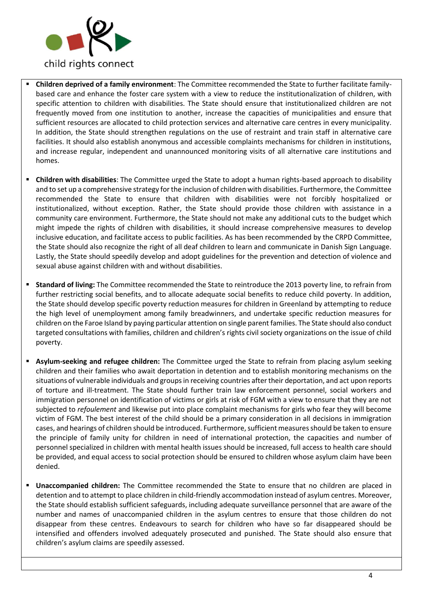

- **Children deprived of a family environment**: The Committee recommended the State to further facilitate familybased care and enhance the foster care system with a view to reduce the institutionalization of children, with specific attention to children with disabilities. The State should ensure that institutionalized children are not frequently moved from one institution to another, increase the capacities of municipalities and ensure that sufficient resources are allocated to child protection services and alternative care centres in every municipality. In addition, the State should strengthen regulations on the use of restraint and train staff in alternative care facilities. It should also establish anonymous and accessible complaints mechanisms for children in institutions, and increase regular, independent and unannounced monitoring visits of all alternative care institutions and homes.
- **Children with disabilities**: The Committee urged the State to adopt a human rights-based approach to disability and to set up a comprehensive strategy for the inclusion of children with disabilities. Furthermore, the Committee recommended the State to ensure that children with disabilities were not forcibly hospitalized or institutionalized, without exception. Rather, the State should provide those children with assistance in a community care environment. Furthermore, the State should not make any additional cuts to the budget which might impede the rights of children with disabilities, it should increase comprehensive measures to develop inclusive education, and facilitate access to public facilities. As has been recommended by the CRPD Committee, the State should also recognize the right of all deaf children to learn and communicate in Danish Sign Language. Lastly, the State should speedily develop and adopt guidelines for the prevention and detection of violence and sexual abuse against children with and without disabilities.
- **Standard of living:** The Committee recommended the State to reintroduce the 2013 poverty line, to refrain from further restricting social benefits, and to allocate adequate social benefits to reduce child poverty. In addition, the State should develop specific poverty reduction measures for children in Greenland by attempting to reduce the high level of unemployment among family breadwinners, and undertake specific reduction measures for children on the Faroe Island by paying particular attention on single parent families. The State should also conduct targeted consultations with families, children and children's rights civil society organizations on the issue of child poverty.
- Asylum-seeking and refugee children: The Committee urged the State to refrain from placing asylum seeking children and their families who await deportation in detention and to establish monitoring mechanisms on the situations of vulnerable individuals and groups in receiving countries after their deportation, and act upon reports of torture and ill-treatment. The State should further train law enforcement personnel, social workers and immigration personnel on identification of victims or girls at risk of FGM with a view to ensure that they are not subjected to *refoulement* and likewise put into place complaint mechanisms for girls who fear they will become victim of FGM. The best interest of the child should be a primary consideration in all decisions in immigration cases, and hearings of children should be introduced. Furthermore, sufficient measures should be taken to ensure the principle of family unity for children in need of international protection, the capacities and number of personnel specialized in children with mental health issues should be increased, full access to health care should be provided, and equal access to social protection should be ensured to children whose asylum claim have been denied.
- **Unaccompanied children:** The Committee recommended the State to ensure that no children are placed in detention and to attempt to place children in child-friendly accommodation instead of asylum centres. Moreover, the State should establish sufficient safeguards, including adequate surveillance personnel that are aware of the number and names of unaccompanied children in the asylum centres to ensure that those children do not disappear from these centres. Endeavours to search for children who have so far disappeared should be intensified and offenders involved adequately prosecuted and punished. The State should also ensure that children's asylum claims are speedily assessed.